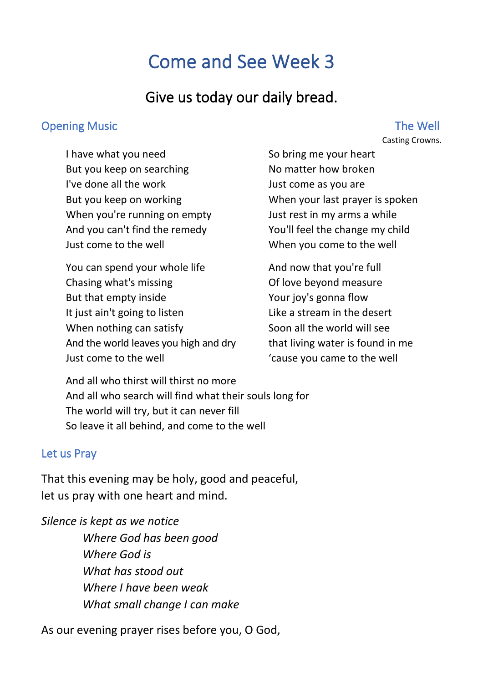# Come and See Week 3

# Give us today our daily bread.

#### Opening Music **The Well**

# Casting Crowns.

I have what you need But you keep on searching I've done all the work But you keep on working When you're running on empty And you can't find the remedy Just come to the well

You can spend your whole life Chasing what's missing But that empty inside It just ain't going to listen When nothing can satisfy And the world leaves you high and dry Just come to the well

So bring me your heart No matter how broken Just come as you are When your last prayer is spoken Just rest in my arms a while You'll feel the change my child When you come to the well

And now that you're full Of love beyond measure Your joy's gonna flow Like a stream in the desert Soon all the world will see that living water is found in me 'cause you came to the well

And all who thirst will thirst no more And all who search will find what their souls long for The world will try, but it can never fill So leave it all behind, and come to the well

#### Let us Pray

That this evening may be holy, good and peaceful, let us pray with one heart and mind.

*Silence is kept as we notice Where God has been good Where God is What has stood out Where I have been weak What small change I can make*

As our evening prayer rises before you, O God,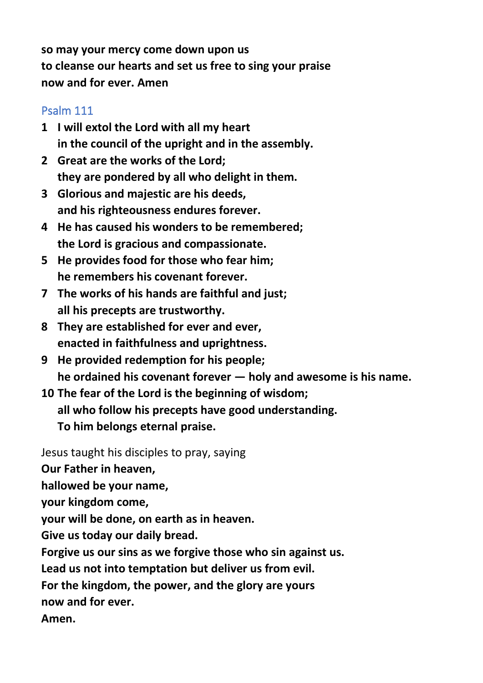**so may your mercy come down upon us to cleanse our hearts and set us free to sing your praise now and for ever. Amen**

## Psalm 111

- **1 I will extol the Lord with all my heart in the council of the upright and in the assembly.**
- **2 Great are the works of the Lord; they are pondered by all who delight in them.**
- **3 Glorious and majestic are his deeds, and his righteousness endures forever.**
- **4 He has caused his wonders to be remembered; the Lord is gracious and compassionate.**
- **5 He provides food for those who fear him; he remembers his covenant forever.**
- **7 The works of his hands are faithful and just; all his precepts are trustworthy.**
- **8 They are established for ever and ever, enacted in faithfulness and uprightness.**
- **9 He provided redemption for his people; he ordained his covenant forever — holy and awesome is his name.**
- **10 The fear of the Lord is the beginning of wisdom; all who follow his precepts have good understanding. To him belongs eternal praise.**

Jesus taught his disciples to pray, saying

**Our Father in heaven,**

**hallowed be your name,**

**your kingdom come,**

**your will be done, on earth as in heaven.**

**Give us today our daily bread.**

**Forgive us our sins as we forgive those who sin against us.**

**Lead us not into temptation but deliver us from evil.**

**For the kingdom, the power, and the glory are yours**

**now and for ever.**

**Amen.**